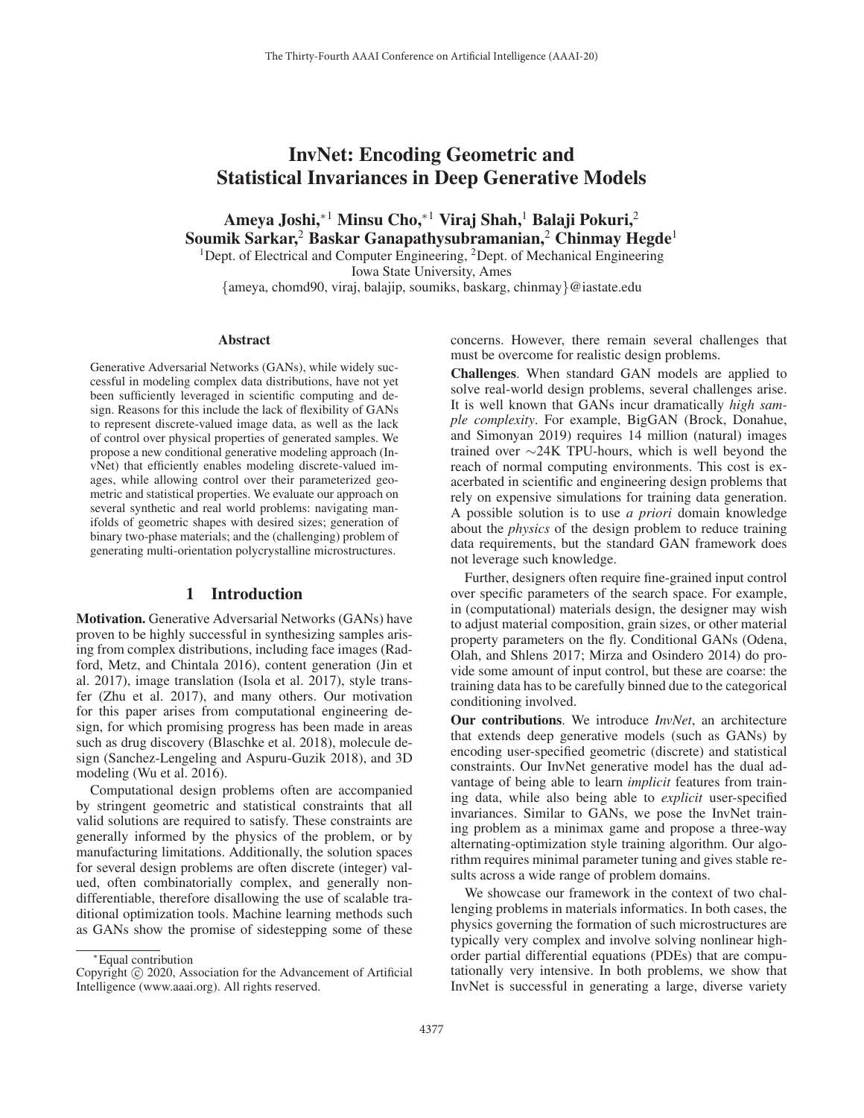# InvNet: Encoding Geometric and Statistical Invariances in Deep Generative Models

Ameya Joshi,<sup>∗1</sup> Minsu Cho,<sup>∗1</sup> Viraj Shah,<sup>1</sup> Balaji Pokuri,<sup>2</sup> Soumik Sarkar,<sup>2</sup> Baskar Ganapathysubramanian,<sup>2</sup> Chinmay Hegde<sup>1</sup> <sup>1</sup>Dept. of Electrical and Computer Engineering, <sup>2</sup>Dept. of Mechanical Engineering

Iowa State University, Ames {ameya, chomd90, viraj, balajip, soumiks, baskarg, chinmay}@iastate.edu

#### Abstract

Generative Adversarial Networks (GANs), while widely successful in modeling complex data distributions, have not yet been sufficiently leveraged in scientific computing and design. Reasons for this include the lack of flexibility of GANs to represent discrete-valued image data, as well as the lack of control over physical properties of generated samples. We propose a new conditional generative modeling approach (InvNet) that efficiently enables modeling discrete-valued images, while allowing control over their parameterized geometric and statistical properties. We evaluate our approach on several synthetic and real world problems: navigating manifolds of geometric shapes with desired sizes; generation of binary two-phase materials; and the (challenging) problem of generating multi-orientation polycrystalline microstructures.

#### 1 Introduction

Motivation. Generative Adversarial Networks (GANs) have proven to be highly successful in synthesizing samples arising from complex distributions, including face images (Radford, Metz, and Chintala 2016), content generation (Jin et al. 2017), image translation (Isola et al. 2017), style transfer (Zhu et al. 2017), and many others. Our motivation for this paper arises from computational engineering design, for which promising progress has been made in areas such as drug discovery (Blaschke et al. 2018), molecule design (Sanchez-Lengeling and Aspuru-Guzik 2018), and 3D modeling (Wu et al. 2016).

Computational design problems often are accompanied by stringent geometric and statistical constraints that all valid solutions are required to satisfy. These constraints are generally informed by the physics of the problem, or by manufacturing limitations. Additionally, the solution spaces for several design problems are often discrete (integer) valued, often combinatorially complex, and generally nondifferentiable, therefore disallowing the use of scalable traditional optimization tools. Machine learning methods such as GANs show the promise of sidestepping some of these

concerns. However, there remain several challenges that must be overcome for realistic design problems.

Challenges. When standard GAN models are applied to solve real-world design problems, several challenges arise. It is well known that GANs incur dramatically *high sample complexity*. For example, BigGAN (Brock, Donahue, and Simonyan 2019) requires 14 million (natural) images trained over ∼24K TPU-hours, which is well beyond the reach of normal computing environments. This cost is exacerbated in scientific and engineering design problems that rely on expensive simulations for training data generation. A possible solution is to use *a priori* domain knowledge about the *physics* of the design problem to reduce training data requirements, but the standard GAN framework does not leverage such knowledge.

Further, designers often require fine-grained input control over specific parameters of the search space. For example, in (computational) materials design, the designer may wish to adjust material composition, grain sizes, or other material property parameters on the fly. Conditional GANs (Odena, Olah, and Shlens 2017; Mirza and Osindero 2014) do provide some amount of input control, but these are coarse: the training data has to be carefully binned due to the categorical conditioning involved.

Our contributions. We introduce *InvNet*, an architecture that extends deep generative models (such as GANs) by encoding user-specified geometric (discrete) and statistical constraints. Our InvNet generative model has the dual advantage of being able to learn *implicit* features from training data, while also being able to *explicit* user-specified invariances. Similar to GANs, we pose the InvNet training problem as a minimax game and propose a three-way alternating-optimization style training algorithm. Our algorithm requires minimal parameter tuning and gives stable results across a wide range of problem domains.

We showcase our framework in the context of two challenging problems in materials informatics. In both cases, the physics governing the formation of such microstructures are typically very complex and involve solving nonlinear highorder partial differential equations (PDEs) that are computationally very intensive. In both problems, we show that InvNet is successful in generating a large, diverse variety

<sup>∗</sup>Equal contribution

Copyright  $\odot$  2020, Association for the Advancement of Artificial Intelligence (www.aaai.org). All rights reserved.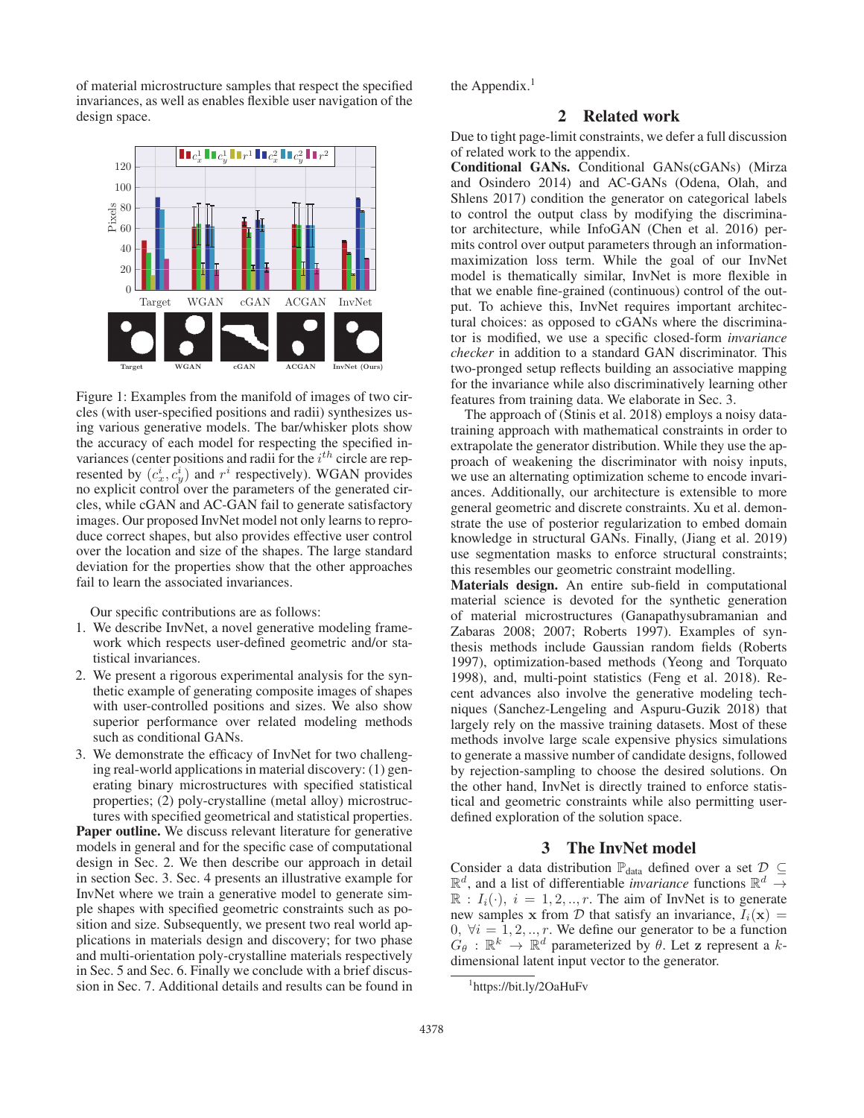of material microstructure samples that respect the specified invariances, as well as enables flexible user navigation of the design space.



Figure 1: Examples from the manifold of images of two circles (with user-specified positions and radii) synthesizes using various generative models. The bar/whisker plots show the accuracy of each model for respecting the specified invariances (center positions and radii for the  $i^{th}$  circle are represented by  $(c_x^i, c_y^i)$  and  $r^i$  respectively). WGAN provides no explicit control over the parameters of the generated circles, while cGAN and AC-GAN fail to generate satisfactory images. Our proposed InvNet model not only learns to reproduce correct shapes, but also provides effective user control over the location and size of the shapes. The large standard deviation for the properties show that the other approaches fail to learn the associated invariances.

Our specific contributions are as follows:

- 1. We describe InvNet, a novel generative modeling framework which respects user-defined geometric and/or statistical invariances.
- 2. We present a rigorous experimental analysis for the synthetic example of generating composite images of shapes with user-controlled positions and sizes. We also show superior performance over related modeling methods such as conditional GANs.
- 3. We demonstrate the efficacy of InvNet for two challenging real-world applications in material discovery: (1) generating binary microstructures with specified statistical properties; (2) poly-crystalline (metal alloy) microstructures with specified geometrical and statistical properties.

Paper outline. We discuss relevant literature for generative models in general and for the specific case of computational design in Sec. 2. We then describe our approach in detail in section Sec. 3. Sec. 4 presents an illustrative example for InvNet where we train a generative model to generate simple shapes with specified geometric constraints such as position and size. Subsequently, we present two real world applications in materials design and discovery; for two phase and multi-orientation poly-crystalline materials respectively in Sec. 5 and Sec. 6. Finally we conclude with a brief discussion in Sec. 7. Additional details and results can be found in

the Appendix. $<sup>1</sup>$ </sup>

# 2 Related work

Due to tight page-limit constraints, we defer a full discussion of related work to the appendix.

Conditional GANs. Conditional GANs(cGANs) (Mirza and Osindero 2014) and AC-GANs (Odena, Olah, and Shlens 2017) condition the generator on categorical labels to control the output class by modifying the discriminator architecture, while InfoGAN (Chen et al. 2016) permits control over output parameters through an informationmaximization loss term. While the goal of our InvNet model is thematically similar, InvNet is more flexible in that we enable fine-grained (continuous) control of the output. To achieve this, InvNet requires important architectural choices: as opposed to cGANs where the discriminator is modified, we use a specific closed-form *invariance checker* in addition to a standard GAN discriminator. This two-pronged setup reflects building an associative mapping for the invariance while also discriminatively learning other features from training data. We elaborate in Sec. 3.

The approach of (Stinis et al. 2018) employs a noisy datatraining approach with mathematical constraints in order to extrapolate the generator distribution. While they use the approach of weakening the discriminator with noisy inputs, we use an alternating optimization scheme to encode invariances. Additionally, our architecture is extensible to more general geometric and discrete constraints. Xu et al. demonstrate the use of posterior regularization to embed domain knowledge in structural GANs. Finally, (Jiang et al. 2019) use segmentation masks to enforce structural constraints; this resembles our geometric constraint modelling.

Materials design. An entire sub-field in computational material science is devoted for the synthetic generation of material microstructures (Ganapathysubramanian and Zabaras 2008; 2007; Roberts 1997). Examples of synthesis methods include Gaussian random fields (Roberts 1997), optimization-based methods (Yeong and Torquato 1998), and, multi-point statistics (Feng et al. 2018). Recent advances also involve the generative modeling techniques (Sanchez-Lengeling and Aspuru-Guzik 2018) that largely rely on the massive training datasets. Most of these methods involve large scale expensive physics simulations to generate a massive number of candidate designs, followed by rejection-sampling to choose the desired solutions. On the other hand, InvNet is directly trained to enforce statistical and geometric constraints while also permitting userdefined exploration of the solution space.

## 3 The InvNet model

Consider a data distribution  $\mathbb{P}_{data}$  defined over a set  $\mathcal{D} \subseteq$  $\mathbb{R}^d$ , and a list of differentiable *invariance* functions  $\mathbb{R}^d \to$  $\mathbb{R}$ :  $I_i(\cdot)$ ,  $i = 1, 2, \dots, r$ . The aim of InvNet is to generate new samples **x** from D that satisfy an invariance,  $I_i(\mathbf{x}) =$ 0,  $\forall i = 1, 2, ..., r$ . We define our generator to be a function  $\hat{G}_{\theta}$  :  $\mathbb{R}^k \to \mathbb{R}^d$  parameterized by  $\theta$ . Let **z** represent a *k*-<br>dimensional latent input vector to the generator dimensional latent input vector to the generator.

<sup>1</sup> https://bit.ly/2OaHuFv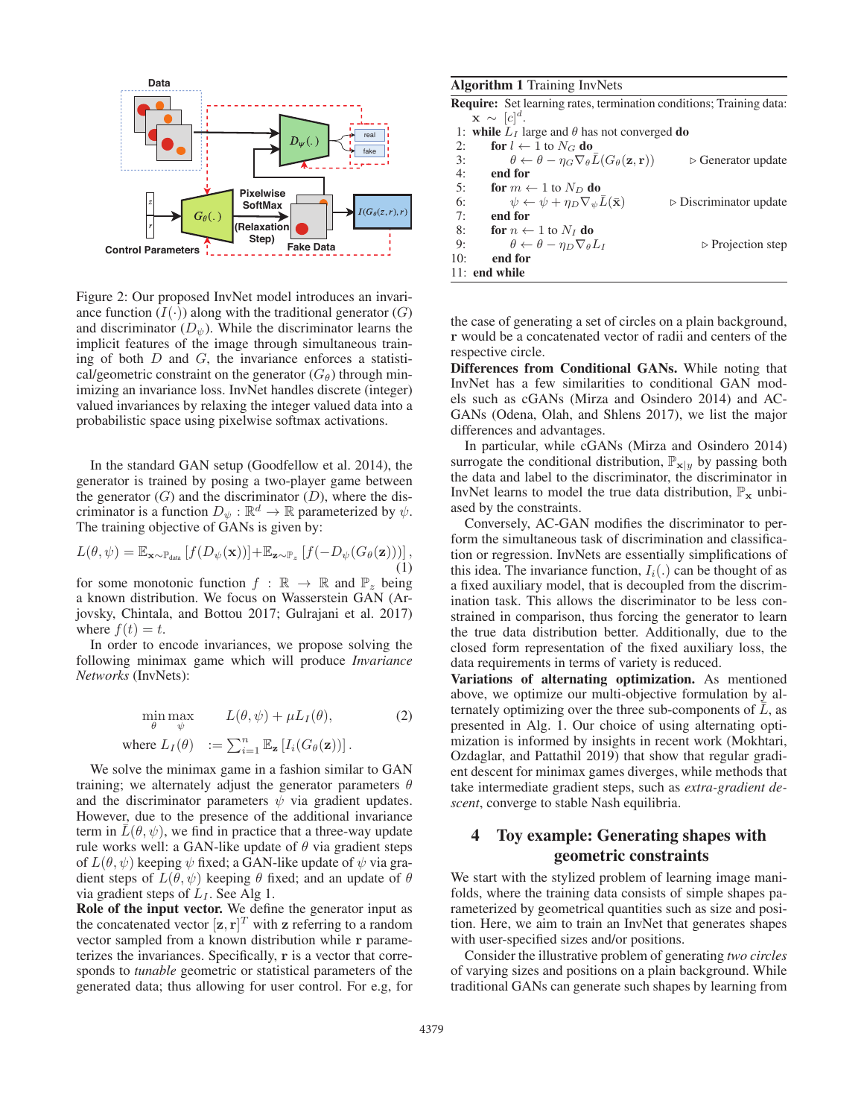

Figure 2: Our proposed InvNet model introduces an invariance function  $(I(\cdot))$  along with the traditional generator  $(G)$ and discriminator  $(D_{\psi})$ . While the discriminator learns the implicit features of the image through simultaneous training of both  $D$  and  $G$ , the invariance enforces a statistical/geometric constraint on the generator  $(G_\theta)$  through minimizing an invariance loss. InvNet handles discrete (integer) valued invariances by relaxing the integer valued data into a probabilistic space using pixelwise softmax activations.

In the standard GAN setup (Goodfellow et al. 2014), the generator is trained by posing a two-player game between the generator  $(G)$  and the discriminator  $(D)$ , where the discriminator is a function  $D_{\psi} : \mathbb{R}^d \to \mathbb{R}$  parameterized by  $\psi$ . The training objective of GANs is given by:

$$
L(\theta, \psi) = \mathbb{E}_{\mathbf{x} \sim \mathbb{P}_{\text{data}}}\left[f(D_{\psi}(\mathbf{x}))\right] + \mathbb{E}_{\mathbf{z} \sim \mathbb{P}_{z}}\left[f(-D_{\psi}(G_{\theta}(\mathbf{z})))\right],\tag{1}
$$

for some monotonic function  $f : \mathbb{R} \to \mathbb{R}$  and  $\mathbb{P}_z$  being a known distribution. We focus on Wasserstein GAN (Arjovsky, Chintala, and Bottou 2017; Gulrajani et al. 2017) where  $f(t) = t$ .

In order to encode invariances, we propose solving the following minimax game which will produce *Invariance Networks* (InvNets):

$$
\min_{\theta} \max_{\psi} \qquad L(\theta, \psi) + \mu L_I(\theta), \tag{2}
$$

where 
$$
L_I(\theta) := \sum_{i=1}^n \mathbb{E}_{\mathbf{z}} [I_i(G_{\theta}(\mathbf{z}))].
$$

We solve the minimax game in a fashion similar to GAN training; we alternately adjust the generator parameters  $\theta$ and the discriminator parameters  $\psi$  via gradient updates. However, due to the presence of the additional invariance term in  $\bar{L}(\theta, \psi)$ , we find in practice that a three-way update rule works well: a GAN-like update of  $\theta$  via gradient steps of  $L(\theta, \psi)$  keeping  $\psi$  fixed; a GAN-like update of  $\psi$  via gradient steps of  $L(\theta, \psi)$  keeping  $\theta$  fixed; and an update of  $\theta$ via gradient steps of  $L_I$ . See Alg 1.

Role of the input vector. We define the generator input as the concatenated vector  $[\mathbf{z}, \mathbf{r}]^T$  with  $\mathbf{z}$  referring to a random vector sampled from a known distribution while **r** paramevector sampled from a known distribution while **r** parameterizes the invariances. Specifically, **r** is a vector that corresponds to *tunable* geometric or statistical parameters of the generated data; thus allowing for user control. For e.g, for

#### Algorithm 1 Training InvNets

|     | <b>Require:</b> Set learning rates, termination conditions; Training data:                |                                       |
|-----|-------------------------------------------------------------------------------------------|---------------------------------------|
|     | $\mathbf{x} \sim [c]^{d}$ .                                                               |                                       |
|     | 1: while $L_I$ large and $\theta$ has not converged do                                    |                                       |
| 2:  | for $l \leftarrow 1$ to $N_G$ do                                                          |                                       |
| 3:  | $\theta \leftarrow \theta - \eta_G \nabla_{\theta} L(G_{\theta}(\mathbf{z}, \mathbf{r}))$ | $\triangleright$ Generator update     |
| 4:  | end for                                                                                   |                                       |
| 5:  | for $m \leftarrow 1$ to $N_D$ do                                                          |                                       |
| 6:  | $\psi \leftarrow \psi + \eta_D \nabla_{\psi} \overline{L}(\overline{\mathbf{x}})$         | $\triangleright$ Discriminator update |
| 7:  | end for                                                                                   |                                       |
| 8:  | for $n \leftarrow 1$ to $N_I$ do                                                          |                                       |
| 9:  | $\theta \leftarrow \theta - \eta_D \nabla_{\theta} L_I$                                   | $\triangleright$ Projection step      |
| 10: | end for                                                                                   |                                       |
|     | 11: end while                                                                             |                                       |
|     |                                                                                           |                                       |

the case of generating a set of circles on a plain background, **r** would be a concatenated vector of radii and centers of the respective circle.

Differences from Conditional GANs. While noting that InvNet has a few similarities to conditional GAN models such as cGANs (Mirza and Osindero 2014) and AC-GANs (Odena, Olah, and Shlens 2017), we list the major differences and advantages.

In particular, while cGANs (Mirza and Osindero 2014) surrogate the conditional distribution,  $\mathbb{P}_{\mathbf{x}|y}$  by passing both the data and label to the discriminator, the discriminator in InvNet learns to model the true data distribution,  $\mathbb{P}_{\mathbf{x}}$  unbiased by the constraints.

Conversely, AC-GAN modifies the discriminator to perform the simultaneous task of discrimination and classification or regression. InvNets are essentially simplifications of this idea. The invariance function,  $I_i(.)$  can be thought of as a fixed auxiliary model, that is decoupled from the discrimination task. This allows the discriminator to be less constrained in comparison, thus forcing the generator to learn the true data distribution better. Additionally, due to the closed form representation of the fixed auxiliary loss, the data requirements in terms of variety is reduced.

Variations of alternating optimization. As mentioned above, we optimize our multi-objective formulation by alternately optimizing over the three sub-components of  $L$ , as presented in Alg. 1. Our choice of using alternating optimization is informed by insights in recent work (Mokhtari, Ozdaglar, and Pattathil 2019) that show that regular gradient descent for minimax games diverges, while methods that take intermediate gradient steps, such as *extra-gradient descent*, converge to stable Nash equilibria.

# 4 Toy example: Generating shapes with geometric constraints

We start with the stylized problem of learning image manifolds, where the training data consists of simple shapes parameterized by geometrical quantities such as size and position. Here, we aim to train an InvNet that generates shapes with user-specified sizes and/or positions.

Consider the illustrative problem of generating *two circles* of varying sizes and positions on a plain background. While traditional GANs can generate such shapes by learning from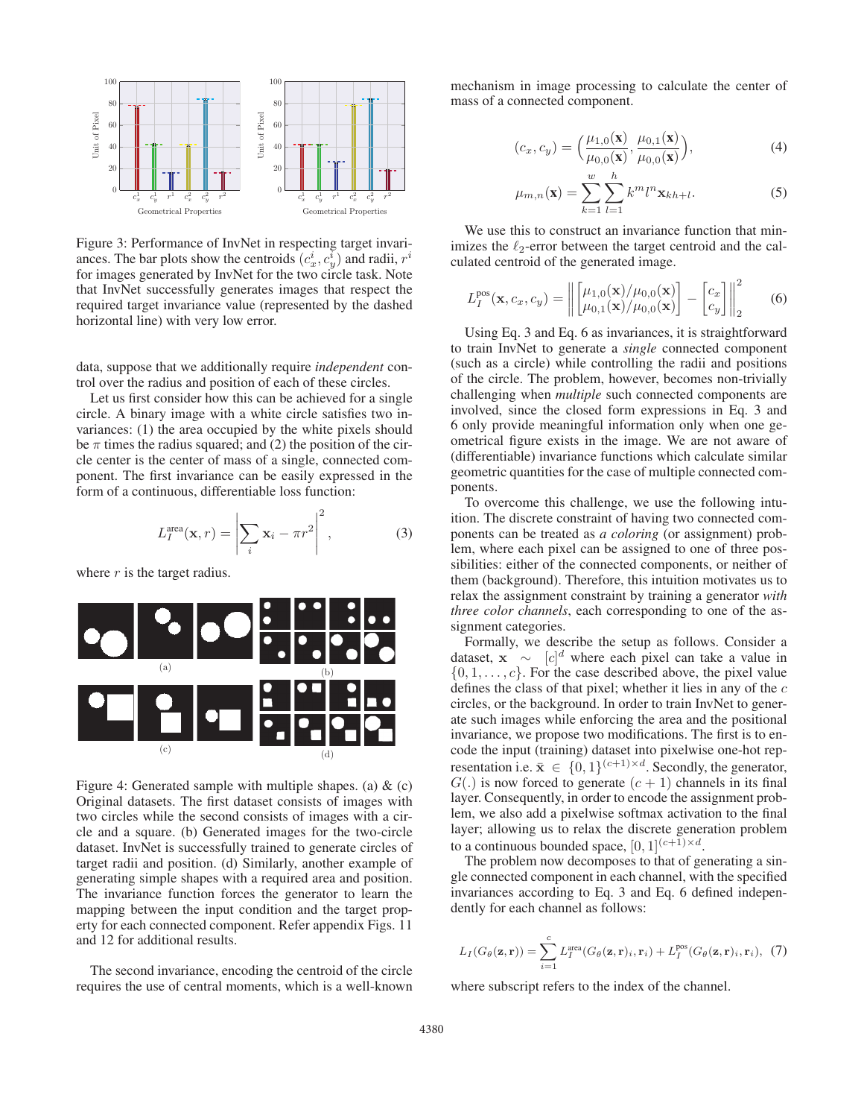

Figure 3: Performance of InvNet in respecting target invariances. The bar plots show the centroids  $(c_x^i, c_y^i)$  and radii,  $r^i$ for images generated by InvNet for the two circle task. Note that InvNet successfully generates images that respect the required target invariance value (represented by the dashed horizontal line) with very low error.

data, suppose that we additionally require *independent* control over the radius and position of each of these circles.

Let us first consider how this can be achieved for a single circle. A binary image with a white circle satisfies two invariances: (1) the area occupied by the white pixels should be  $\pi$  times the radius squared; and (2) the position of the circle center is the center of mass of a single, connected component. The first invariance can be easily expressed in the form of a continuous, differentiable loss function:

$$
L_I^{\text{area}}(\mathbf{x}, r) = \left| \sum_i \mathbf{x}_i - \pi r^2 \right|^2, \tag{3}
$$

where  $r$  is the target radius.



Figure 4: Generated sample with multiple shapes. (a)  $\&$  (c) Original datasets. The first dataset consists of images with two circles while the second consists of images with a circle and a square. (b) Generated images for the two-circle dataset. InvNet is successfully trained to generate circles of target radii and position. (d) Similarly, another example of generating simple shapes with a required area and position. The invariance function forces the generator to learn the mapping between the input condition and the target property for each connected component. Refer appendix Figs. 11 and 12 for additional results.

The second invariance, encoding the centroid of the circle requires the use of central moments, which is a well-known

mechanism in image processing to calculate the center of mass of a connected component.

$$
(c_x, c_y) = \left(\frac{\mu_{1,0}(\mathbf{x})}{\mu_{0,0}(\mathbf{x})}, \frac{\mu_{0,1}(\mathbf{x})}{\mu_{0,0}(\mathbf{x})}\right),\tag{4}
$$

$$
\mu_{m,n}(\mathbf{x}) = \sum_{k=1}^{w} \sum_{l=1}^{h} k^m l^n \mathbf{x}_{kh+l}.
$$
 (5)

We use this to construct an invariance function that minimizes the  $\ell_2$ -error between the target centroid and the calculated centroid of the generated image.

$$
L_I^{\text{pos}}(\mathbf{x}, c_x, c_y) = \left\| \begin{bmatrix} \mu_{1,0}(\mathbf{x}) / \mu_{0,0}(\mathbf{x}) \\ \mu_{0,1}(\mathbf{x}) / \mu_{0,0}(\mathbf{x}) \end{bmatrix} - \begin{bmatrix} c_x \\ c_y \end{bmatrix} \right\|_2^2 \tag{6}
$$

Using Eq. 3 and Eq. 6 as invariances, it is straightforward to train InvNet to generate a *single* connected component (such as a circle) while controlling the radii and positions of the circle. The problem, however, becomes non-trivially challenging when *multiple* such connected components are involved, since the closed form expressions in Eq. 3 and 6 only provide meaningful information only when one geometrical figure exists in the image. We are not aware of (differentiable) invariance functions which calculate similar geometric quantities for the case of multiple connected components.

To overcome this challenge, we use the following intuition. The discrete constraint of having two connected components can be treated as *a coloring* (or assignment) problem, where each pixel can be assigned to one of three possibilities: either of the connected components, or neither of them (background). Therefore, this intuition motivates us to relax the assignment constraint by training a generator *with three color channels*, each corresponding to one of the assignment categories.

Formally, we describe the setup as follows. Consider a dataset,  $\mathbf{x} \sim [c]^d$  where each pixel can take a value in  $\{0, 1, \ldots, c\}$  For the case described above the pixel value  $\{0, 1, \ldots, c\}$ . For the case described above, the pixel value defines the class of that pixel; whether it lies in any of the  $c$ circles, or the background. In order to train InvNet to generate such images while enforcing the area and the positional invariance, we propose two modifications. The first is to encode the input (training) dataset into pixelwise one-hot representation i.e.  $\bar{\mathbf{x}} \in \{0, 1\}^{(c+1) \times d}$ . Secondly, the generator,  $G(.)$  is now forced to generate  $(c + 1)$  channels in its final layer. Consequently, in order to encode the assignment problem, we also add a pixelwise softmax activation to the final layer; allowing us to relax the discrete generation problem to a continuous bounded space,  $[0, 1]^{(c+1) \times d}$ .

The problem now decomposes to that of generating a single connected component in each channel, with the specified invariances according to Eq. 3 and Eq. 6 defined independently for each channel as follows:

$$
L_I(G_{\theta}(\mathbf{z}, \mathbf{r})) = \sum_{i=1}^{c} L_I^{\text{area}}(G_{\theta}(\mathbf{z}, \mathbf{r})_i, \mathbf{r}_i) + L_I^{\text{pos}}(G_{\theta}(\mathbf{z}, \mathbf{r})_i, \mathbf{r}_i), (7)
$$

where subscript refers to the index of the channel.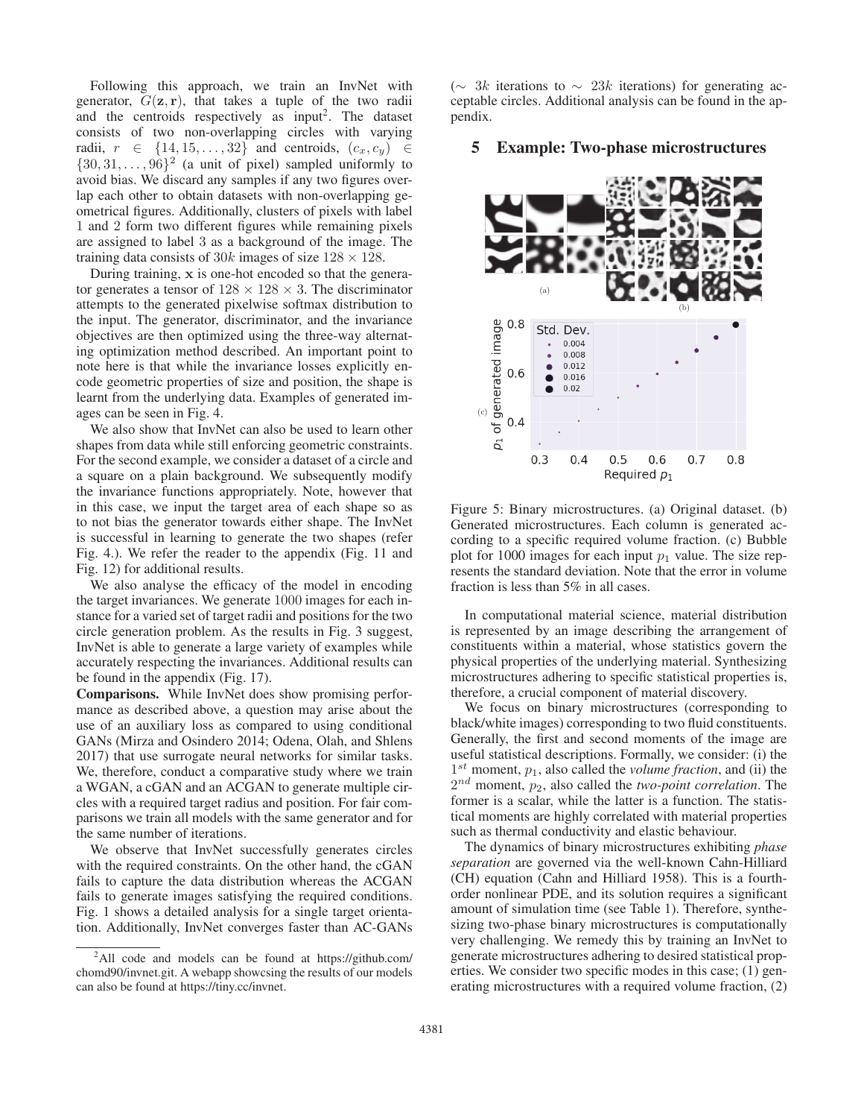Following this approach, we train an InvNet with generator,  $G(\mathbf{z}, \mathbf{r})$ , that takes a tuple of the two radii and the centroids respectively as input<sup>2</sup>. The dataset consists of two non-overlapping circles with varying radii,  $r \in \{14, 15, \ldots, 32\}$  and centroids,  $(c_x, c_y) \in$  $\{30, 31, \ldots, 96\}^2$  (a unit of pixel) sampled uniformly to avoid bias. We discard any samples if any two figures overlap each other to obtain datasets with non-overlapping geometrical figures. Additionally, clusters of pixels with label 1 and 2 form two different figures while remaining pixels are assigned to label 3 as a background of the image. The training data consists of 30k images of size  $128 \times 128$ .

During training, **x** is one-hot encoded so that the generator generates a tensor of  $128 \times 128 \times 3$ . The discriminator attempts to the generated pixelwise softmax distribution to the input. The generator, discriminator, and the invariance objectives are then optimized using the three-way alternating optimization method described. An important point to note here is that while the invariance losses explicitly encode geometric properties of size and position, the shape is learnt from the underlying data. Examples of generated images can be seen in Fig. 4.

We also show that InvNet can also be used to learn other shapes from data while still enforcing geometric constraints. For the second example, we consider a dataset of a circle and a square on a plain background. We subsequently modify the invariance functions appropriately. Note, however that in this case, we input the target area of each shape so as to not bias the generator towards either shape. The InvNet is successful in learning to generate the two shapes (refer Fig. 4.). We refer the reader to the appendix (Fig. 11 and Fig. 12) for additional results.

We also analyse the efficacy of the model in encoding the target invariances. We generate 1000 images for each instance for a varied set of target radii and positions for the two circle generation problem. As the results in Fig. 3 suggest, InvNet is able to generate a large variety of examples while accurately respecting the invariances. Additional results can be found in the appendix (Fig. 17).

Comparisons. While InvNet does show promising performance as described above, a question may arise about the use of an auxiliary loss as compared to using conditional GANs (Mirza and Osindero 2014; Odena, Olah, and Shlens 2017) that use surrogate neural networks for similar tasks. We, therefore, conduct a comparative study where we train a WGAN, a cGAN and an ACGAN to generate multiple circles with a required target radius and position. For fair comparisons we train all models with the same generator and for the same number of iterations.

We observe that InvNet successfully generates circles with the required constraints. On the other hand, the cGAN fails to capture the data distribution whereas the ACGAN fails to generate images satisfying the required conditions. Fig. 1 shows a detailed analysis for a single target orientation. Additionally, InvNet converges faster than AC-GANs

 $(∼ 3k$  iterations to  $∼ 23k$  iterations) for generating acceptable circles. Additional analysis can be found in the appendix.

### 5 Example: Two-phase microstructures



Figure 5: Binary microstructures. (a) Original dataset. (b) Generated microstructures. Each column is generated according to a specific required volume fraction. (c) Bubble plot for 1000 images for each input  $p_1$  value. The size represents the standard deviation. Note that the error in volume fraction is less than 5% in all cases.

In computational material science, material distribution is represented by an image describing the arrangement of constituents within a material, whose statistics govern the physical properties of the underlying material. Synthesizing microstructures adhering to specific statistical properties is, therefore, a crucial component of material discovery.

We focus on binary microstructures (corresponding to black/white images) corresponding to two fluid constituents. Generally, the first and second moments of the image are useful statistical descriptions. Formally, we consider: (i) the  $1<sup>st</sup>$  moment,  $p_1$ , also called the *volume fraction*, and (ii) the  $2^{nd}$  moment,  $p_2$ , also called the *two-point correlation*. The former is a scalar, while the latter is a function. The statistical moments are highly correlated with material properties such as thermal conductivity and elastic behaviour.

The dynamics of binary microstructures exhibiting *phase separation* are governed via the well-known Cahn-Hilliard (CH) equation (Cahn and Hilliard 1958). This is a fourthorder nonlinear PDE, and its solution requires a significant amount of simulation time (see Table 1). Therefore, synthesizing two-phase binary microstructures is computationally very challenging. We remedy this by training an InvNet to generate microstructures adhering to desired statistical properties. We consider two specific modes in this case; (1) generating microstructures with a required volume fraction, (2)

<sup>&</sup>lt;sup>2</sup>All code and models can be found at https://github.com/ chomd90/invnet.git. A webapp showcsing the results of our models can also be found at https://tiny.cc/invnet.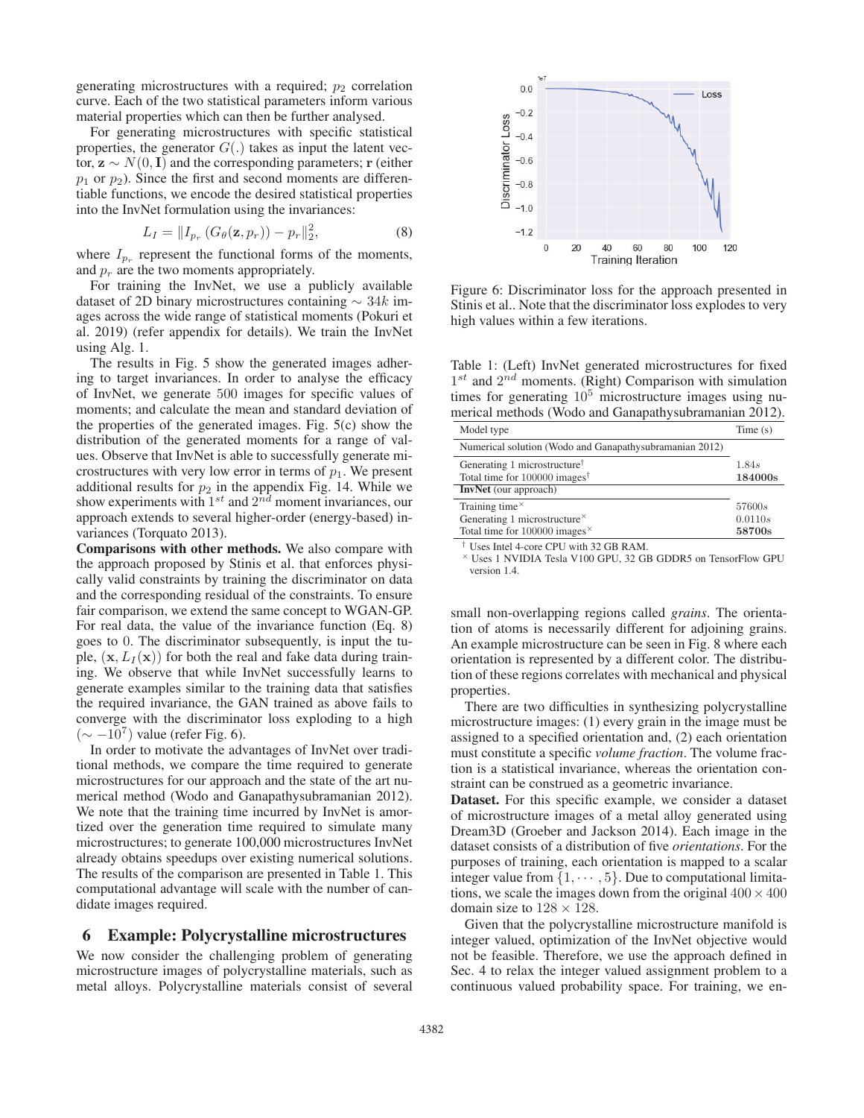generating microstructures with a required;  $p_2$  correlation curve. Each of the two statistical parameters inform various material properties which can then be further analysed.

For generating microstructures with specific statistical properties, the generator  $G(.)$  takes as input the latent vector,  $z \sim N(0, I)$  and the corresponding parameters; **r** (either  $p_1$  or  $p_2$ ). Since the first and second moments are differentiable functions, we encode the desired statistical properties into the InvNet formulation using the invariances:

$$
L_I = ||I_{p_r} (G_{\theta}(\mathbf{z}, p_r)) - p_r||_2^2,
$$
\n(8)

where  $I_{p_r}$  represent the functional forms of the moments, and  $p_r$  are the two moments appropriately.

For training the InvNet, we use a publicly available dataset of 2D binary microstructures containing  $\sim$  34k images across the wide range of statistical moments (Pokuri et al. 2019) (refer appendix for details). We train the InvNet using Alg. 1.

The results in Fig. 5 show the generated images adhering to target invariances. In order to analyse the efficacy of InvNet, we generate 500 images for specific values of moments; and calculate the mean and standard deviation of the properties of the generated images. Fig. 5(c) show the distribution of the generated moments for a range of values. Observe that InvNet is able to successfully generate microstructures with very low error in terms of  $p_1$ . We present additional results for  $p_2$  in the appendix Fig. 14. While we show experiments with  $1^{st}$  and  $2^{nd}$  moment invariances, our approach extends to several higher-order (energy-based) invariances (Torquato 2013).

Comparisons with other methods. We also compare with the approach proposed by Stinis et al. that enforces physically valid constraints by training the discriminator on data and the corresponding residual of the constraints. To ensure fair comparison, we extend the same concept to WGAN-GP. For real data, the value of the invariance function (Eq. 8) goes to 0. The discriminator subsequently, is input the tuple,  $(\mathbf{x}, L_I(\mathbf{x}))$  for both the real and fake data during training. We observe that while InvNet successfully learns to generate examples similar to the training data that satisfies the required invariance, the GAN trained as above fails to converge with the discriminator loss exploding to a high  $({\sim} -10^{7})$  value (refer Fig. 6).

In order to motivate the advantages of InvNet over traditional methods, we compare the time required to generate microstructures for our approach and the state of the art numerical method (Wodo and Ganapathysubramanian 2012). We note that the training time incurred by InvNet is amortized over the generation time required to simulate many microstructures; to generate 100,000 microstructures InvNet already obtains speedups over existing numerical solutions. The results of the comparison are presented in Table 1. This computational advantage will scale with the number of candidate images required.

### 6 Example: Polycrystalline microstructures

We now consider the challenging problem of generating microstructure images of polycrystalline materials, such as metal alloys. Polycrystalline materials consist of several



Figure 6: Discriminator loss for the approach presented in Stinis et al.. Note that the discriminator loss explodes to very high values within a few iterations.

Table 1: (Left) InvNet generated microstructures for fixed  $1^{st}$  and  $2^{nd}$  moments. (Right) Comparison with simulation times for generating  $10^5$  microstructure images using numerical methods (Wodo and Ganapathysubramanian 2012).

| Model type                                                    | Time(s) |
|---------------------------------------------------------------|---------|
| Numerical solution (Wodo and Ganapathy subramanian 2012)      |         |
| Generating 1 microstructure <sup><math>\uparrow</math></sup>  | 1.84s   |
| Total time for $100000$ images <sup>†</sup>                   | 184000s |
| <b>InvNet</b> (our approach)                                  |         |
| Training time $\times$                                        | 57600s  |
| Generating 1 microstructure $\times$                          | 0.0110s |
| Total time for $100000$ images <sup><math>\times</math></sup> | 58700s  |
| $\overline{1}$ Hence Into 1.4, come CDH with 22 CD DAM        |         |

Uses Intel 4-core CPU with 32 GB RAM.

<sup>×</sup> Uses 1 NVIDIA Tesla V100 GPU, 32 GB GDDR5 on TensorFlow GPU version 1.4.

small non-overlapping regions called *grains*. The orientation of atoms is necessarily different for adjoining grains. An example microstructure can be seen in Fig. 8 where each orientation is represented by a different color. The distribution of these regions correlates with mechanical and physical properties.

There are two difficulties in synthesizing polycrystalline microstructure images: (1) every grain in the image must be assigned to a specified orientation and, (2) each orientation must constitute a specific *volume fraction*. The volume fraction is a statistical invariance, whereas the orientation constraint can be construed as a geometric invariance.

Dataset. For this specific example, we consider a dataset of microstructure images of a metal alloy generated using Dream3D (Groeber and Jackson 2014). Each image in the dataset consists of a distribution of five *orientations*. For the purposes of training, each orientation is mapped to a scalar integer value from  $\{1, \dots, 5\}$ . Due to computational limitations, we scale the images down from the original  $400 \times 400$ domain size to  $128 \times 128$ .

Given that the polycrystalline microstructure manifold is integer valued, optimization of the InvNet objective would not be feasible. Therefore, we use the approach defined in Sec. 4 to relax the integer valued assignment problem to a continuous valued probability space. For training, we en-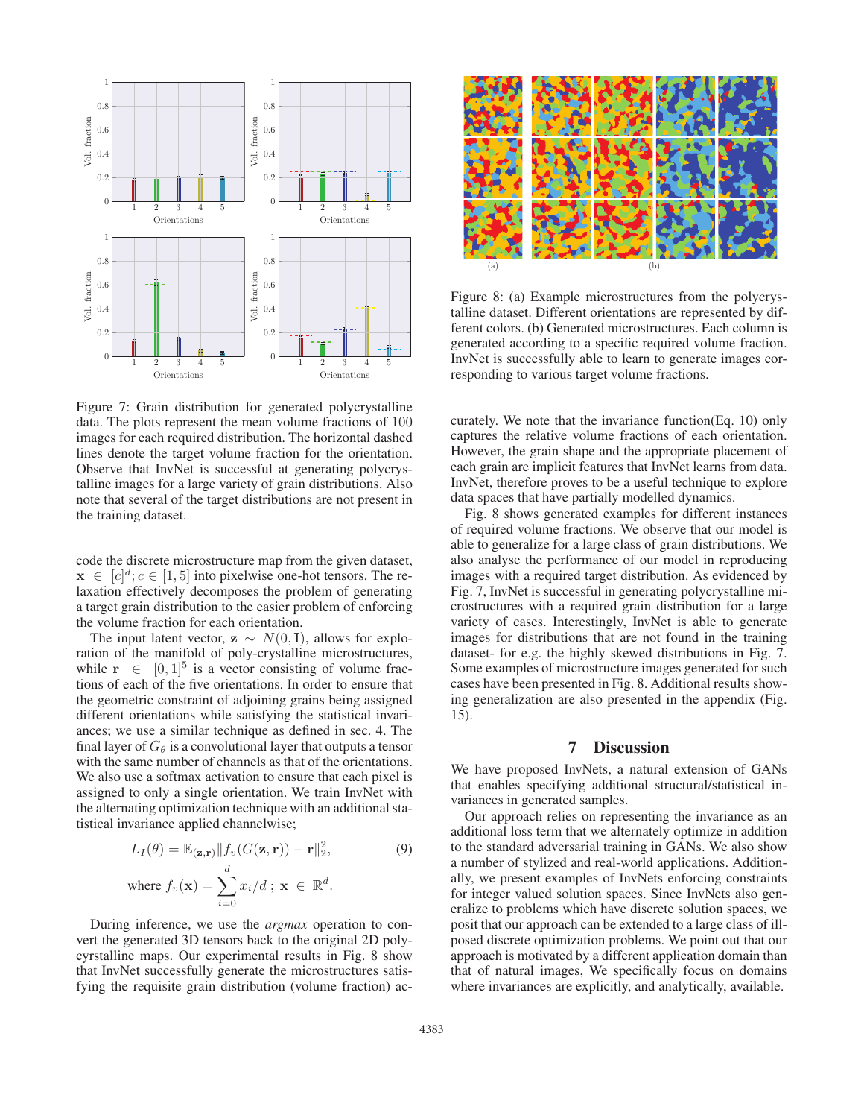

Figure 7: Grain distribution for generated polycrystalline data. The plots represent the mean volume fractions of 100 images for each required distribution. The horizontal dashed lines denote the target volume fraction for the orientation. Observe that InvNet is successful at generating polycrystalline images for a large variety of grain distributions. Also note that several of the target distributions are not present in the training dataset.

code the discrete microstructure map from the given dataset,  $\mathbf{x} \in [c]^d$ ;  $c \in [1, 5]$  into pixelwise one-hot tensors. The re-<br>laxation effectively decomposes the problem of generating laxation effectively decomposes the problem of generating a target grain distribution to the easier problem of enforcing the volume fraction for each orientation.

The input latent vector,  $z \sim N(0, I)$ , allows for exploration of the manifold of poly-crystalline microstructures, while  $\mathbf{r} \in [0, 1]^5$  is a vector consisting of volume fractions of each of the five orientations. In order to ensure that the geometric constraint of adjoining grains being assigned different orientations while satisfying the statistical invariances; we use a similar technique as defined in sec. 4. The final layer of  $G_\theta$  is a convolutional layer that outputs a tensor with the same number of channels as that of the orientations. We also use a softmax activation to ensure that each pixel is assigned to only a single orientation. We train InvNet with the alternating optimization technique with an additional statistical invariance applied channelwise;

$$
L_I(\theta) = \mathbb{E}_{(\mathbf{z}, \mathbf{r})} || f_v(G(\mathbf{z}, \mathbf{r})) - \mathbf{r} ||_2^2,
$$
  
where  $f_v(\mathbf{x}) = \sum_{i=0}^d x_i/d \; ; \; \mathbf{x} \in \mathbb{R}^d.$  (9)

During inference, we use the *argmax* operation to convert the generated 3D tensors back to the original 2D polycyrstalline maps. Our experimental results in Fig. 8 show that InvNet successfully generate the microstructures satisfying the requisite grain distribution (volume fraction) ac-



Figure 8: (a) Example microstructures from the polycrystalline dataset. Different orientations are represented by different colors. (b) Generated microstructures. Each column is generated according to a specific required volume fraction. InvNet is successfully able to learn to generate images corresponding to various target volume fractions.

curately. We note that the invariance function(Eq. 10) only captures the relative volume fractions of each orientation. However, the grain shape and the appropriate placement of each grain are implicit features that InvNet learns from data. InvNet, therefore proves to be a useful technique to explore data spaces that have partially modelled dynamics.

Fig. 8 shows generated examples for different instances of required volume fractions. We observe that our model is able to generalize for a large class of grain distributions. We also analyse the performance of our model in reproducing images with a required target distribution. As evidenced by Fig. 7, InvNet is successful in generating polycrystalline microstructures with a required grain distribution for a large variety of cases. Interestingly, InvNet is able to generate images for distributions that are not found in the training dataset- for e.g. the highly skewed distributions in Fig. 7. Some examples of microstructure images generated for such cases have been presented in Fig. 8. Additional results showing generalization are also presented in the appendix (Fig. 15).

### 7 Discussion

We have proposed InvNets, a natural extension of GANs that enables specifying additional structural/statistical invariances in generated samples.

Our approach relies on representing the invariance as an additional loss term that we alternately optimize in addition to the standard adversarial training in GANs. We also show a number of stylized and real-world applications. Additionally, we present examples of InvNets enforcing constraints for integer valued solution spaces. Since InvNets also generalize to problems which have discrete solution spaces, we posit that our approach can be extended to a large class of illposed discrete optimization problems. We point out that our approach is motivated by a different application domain than that of natural images, We specifically focus on domains where invariances are explicitly, and analytically, available.